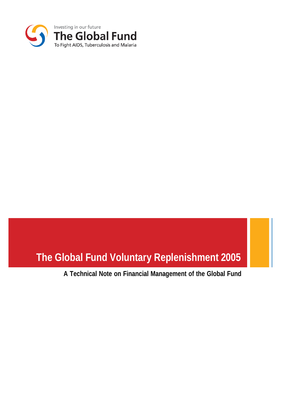

# **The Global Fund Voluntary Replenishment 2005**

**A Technical Note on Financial Management of the Global Fund**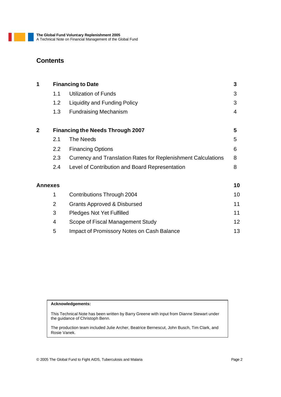# **Contents**

| 1 |                  | <b>Financing to Date</b>                                      | 3  |
|---|------------------|---------------------------------------------------------------|----|
|   | 1.1              | <b>Utilization of Funds</b>                                   | 3  |
|   | 1.2              | Liquidity and Funding Policy                                  | 3  |
|   | 1.3              | <b>Fundraising Mechanism</b>                                  | 4  |
| 2 |                  | <b>Financing the Needs Through 2007</b>                       | 5  |
|   | 2.1              | The Needs                                                     | 5  |
|   | $2.2\phantom{0}$ | <b>Financing Options</b>                                      | 6  |
|   | 2.3              | Currency and Translation Rates for Replenishment Calculations | 8  |
|   | 2.4              | Level of Contribution and Board Representation                | 8  |
|   | Annexes          |                                                               | 10 |
|   | 1                | <b>Contributions Through 2004</b>                             | 10 |
|   | $\overline{2}$   | <b>Grants Approved &amp; Disbursed</b>                        | 11 |

| 3 | <b>Pledges Not Yet Fulfilled</b>           |    |
|---|--------------------------------------------|----|
| 4 | Scope of Fiscal Management Study           | 12 |
| 5 | Impact of Promissory Notes on Cash Balance | 13 |

#### **Acknowledgements:**

This Technical Note has been written by Barry Greene with input from Dianne Stewart under the guidance of Christoph Benn.

The production team included Julie Archer, Beatrice Bernescut, John Busch, Tim Clark, and Rosie Vanek.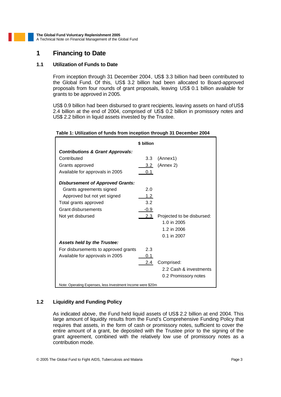### **1 Financing to Date**

#### **1.1 Utilization of Funds to Date**

From inception through 31 December 2004, US\$ 3.3 billion had been contributed to the Global Fund. Of this, US\$ 3.2 billion had been allocated to Board-approved proposals from four rounds of grant proposals, leaving US\$ 0.1 billion available for grants to be approved in 2005.

US\$ 0.9 billion had been disbursed to grant recipients, leaving assets on hand of US\$ 2.4 billion at the end of 2004, comprised of US\$ 0.2 billion in promissory notes and US\$ 2.2 billion in liquid assets invested by the Trustee.

|                                                             | \$ billion |                            |
|-------------------------------------------------------------|------------|----------------------------|
| <b>Contributions &amp; Grant Approvals:</b>                 |            |                            |
| Contributed                                                 | 3.3        | (Annex1)                   |
| Grants approved                                             | 3.2        | (Annex 2)                  |
| Available for approvals in 2005                             | 0.1        |                            |
| <b>Disbursement of Approved Grants:</b>                     |            |                            |
| Grants agreements signed                                    | 2.0        |                            |
| Approved but not yet signed                                 | 1.2        |                            |
| Total grants approved                                       | 3.2        |                            |
| Grant disbursements                                         | $-0.9$     |                            |
| Not yet disbursed                                           | 2.3        | Projected to be disbursed: |
|                                                             |            | 1.0 in 2005                |
|                                                             |            | 1.2 in 2006                |
|                                                             |            | 0.1 in 2007                |
| <b>Assets held by the Trustee:</b>                          |            |                            |
| For disbursements to approved grants                        | 2.3        |                            |
| Available for approvals in 2005                             | 0.1        |                            |
|                                                             | 2.4        | Comprised:                 |
|                                                             |            | 2.2 Cash & investments     |
|                                                             |            | 0.2 Promissory notes       |
| Note: Operating Expenses, less Investment Income were \$20m |            |                            |

#### **Table 1: Utilization of funds from inception through 31 December 2004**

#### **1.2 Liquidity and Funding Policy**

As indicated above, the Fund held liquid assets of US\$ 2.2 billion at end 2004. This large amount of liquidity results from the Fund's Comprehensive Funding Policy that requires that assets, in the form of cash or promissory notes, sufficient to cover the entire amount of a grant, be deposited with the Trustee prior to the signing of the grant agreement, combined with the relatively low use of promissory notes as a contribution mode.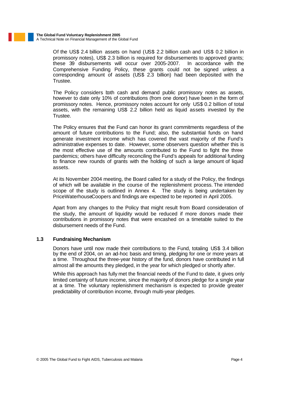Of the US\$ 2.4 billion assets on hand (US\$ 2.2 billion cash and US\$ 0.2 billion in promissory notes), US\$ 2.3 billion is required for disbursements to approved grants; these 39 disbursements will occur over 2005-2007. In accordance with the Comprehensive Funding Policy, these grants could not be signed unless a corresponding amount of assets (US\$ 2.3 billion) had been deposited with the Trustee.

The Policy considers both cash and demand public promissory notes as assets, however to date only 10% of contributions (from one donor) have been in the form of promissory notes. Hence, promissory notes account for only US\$ 0.2 billion of total assets, with the remaining US\$ 2.2 billion held as liquid assets invested by the Trustee.

The Policy ensures that the Fund can honor its grant commitments regardless of the amount of future contributions to the Fund; also, the substantial funds on hand generate investment income which has covered the vast majority of the Fund's administrative expenses to date. However, some observers question whether this is the most effective use of the amounts contributed to the Fund to fight the three pandemics; others have difficulty reconciling the Fund's appeals for additional funding to finance new rounds of grants with the holding of such a large amount of liquid assets.

At its November 2004 meeting, the Board called for a study of the Policy, the findings of which will be available in the course of the replenishment process. The intended scope of the study is outlined in Annex 4. The study is being undertaken by PriceWaterhouseCoopers and findings are expected to be reported in April 2005.

Apart from any changes to the Policy that might result from Board consideration of the study, the amount of liquidity would be reduced if more donors made their contributions in promissory notes that were encashed on a timetable suited to the disbursement needs of the Fund.

#### **1.3 Fundraising Mechanism**

Donors have until now made their contributions to the Fund, totaling US\$ 3.4 billion by the end of 2004, on an ad-hoc basis and timing, pledging for one or more years at a time. Throughout the three-year history of the fund, donors have contributed in full almost all the amounts they pledged, in the year for which pledged or shortly after.

While this approach has fully met the financial needs of the Fund to date, it gives only limited certainty of future income, since the majority of donors pledge for a single year at a time. The voluntary replenishment mechanism is expected to provide greater predictability of contribution income, through multi-year pledges.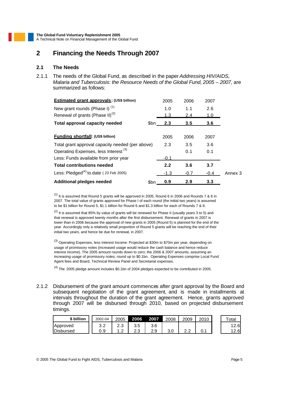# **2 Financing the Needs Through 2007**

#### **2.1 The Needs**

2.1.1 The needs of the Global Fund, as described in the paper *Addressing HIV/AIDS, Malaria and Tuberculosis: the Resource Needs of the Global Fund, 2005 – 2007*, are summarized as follows:

| Estimated grant approvals: (US\$ billion)        |      | 2005   | 2006   | 2007       |         |
|--------------------------------------------------|------|--------|--------|------------|---------|
| New grant rounds (Phase I) $(1)$                 |      | 1.0    | 1.1    | 2.6        |         |
| Renewal of grants (Phase II) <sup>(2)</sup>      |      | 1.3    | 2.4    | <u>1.0</u> |         |
| <b>Total approval capacity needed</b>            | \$bn | 2.3    | 3.5    | 3.6        |         |
|                                                  |      |        |        |            |         |
| <b>Funding shortfall: (US\$ billion)</b>         |      | 2005   | 2006   | 2007       |         |
| Total grant approval capacity needed (per above) |      | 2.3    | 3.5    | 3.6        |         |
| Operating Expenses, less Interest <sup>(3)</sup> |      |        | 0.1    | 0.1        |         |
| Less: Funds available from prior year            |      | $-0.1$ |        |            |         |
| <b>Total contributions needed</b>                |      | 2.2    | 3.6    | 3.7        |         |
| Less: $Pledged(4)$ to date (23 Feb 2005)         |      | $-1.3$ | $-0.7$ | $-0.4$     | Annex 3 |
| <b>Additional pledges needed</b>                 | \$bn | 0.9    | 2.9    | 3.3        |         |

 $<sup>(1)</sup>$  It is assumed that Round 5 grants will be approved in 2005, Round 6 in 2006 and Rounds 7 & 8 in</sup> 2007. The total value of grants approved for Phase I of each round (the initial two years) is assumed to be \$1 billion for Round 5, \$1.1 billion for Round 6 and \$1.3 billion for each of Rounds 7 & 8.

 $(2)$  It is assumed that 85% by value of grants will be renewed for Phase II (usually years 3 to 5) and that renewal is approved twenty months after the first disbursement. Renewal of grants in 2007 is lower than in 2006 because the approval of new grants in 2005 (Round 5) is planned for the end of the year. Accordingly only a relatively small proportion of Round 5 grants will be reaching the end of their initial two years, and hence be due for renewal, in 2007.

(3) Operating Expenses, less Interest Income: Projected at \$30m to \$70m per year, depending on usage of promissory notes (increased usage would reduce the cash balance and hence reduce interest income). The 2005 amount rounds down to zero; the 2006 & 2007 amounts, assuming an increasing usage of promissory notes, round up to \$0.1bn. Operating Expenses comprise Local Fund Agent fees and Board, Technical Review Panel and Secretariat expenses.

 $<sup>(4)</sup>$  The 2005 pledge amount includes \$0.1bn of 2004 pledges expected to be contributed in 2005.</sup>

2.1.2 Disbursement of the grant amount commences after grant approval by the Board and subsequent negotiation of the grant agreement, and is made in installments at intervals throughout the duration of the grant agreement. Hence, grants approved through 2007 will be disbursed through 2010, based on projected disbursement timings.

| \$ billion | 2002-04    | 2005            | 2006               | 2007 | 2008 | 2009          | 2010 | Totai |
|------------|------------|-----------------|--------------------|------|------|---------------|------|-------|
| Approved   | റ റ<br>ے.ت | $\sim$<br>ں ، ے | つに<br>ບ.ບ          | 3.6  |      |               |      | .∠.6L |
| Disbursed  | 0.9        | .               | $\sim$<br>⌒<br>ں ے | 2.9  | U.U  | ◠<br><u>.</u> |      | .∠.6! |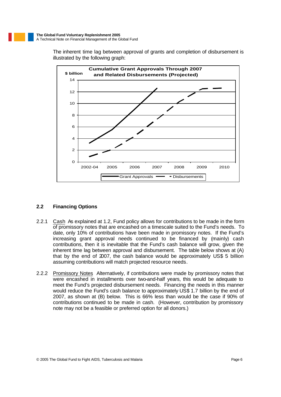The inherent time lag between approval of grants and completion of disbursement is illustrated by the following graph:



#### **2.2 Financing Options**

- 2.2.1 Cash As explained at 1.2, Fund policy allows for contributions to be made in the form of promissory notes that are encashed on a timescale suited to the Fund's needs. To date, only 10% of contributions have been made in promissory notes. If the Fund's increasing grant approval needs continued to be financed by (mainly) cash contributions, then it is inevitable that the Fund's cash balance will grow, given the inherent time lag between approval and disbursement. The table below shows at (A) that by the end of 2007, the cash balance would be approximately US\$ 5 billion assuming contributions will match projected resource needs.
- 2.2.2 Promissory Notes Alternatively, if contributions were made by promissory notes that were encashed in installments over two-and-half years, this would be adequate to meet the Fund's projected disbursement needs. Financing the needs in this manner would reduce the Fund's cash balance to approximately US\$ 1.7 billion by the end of 2007, as shown at (B) below. This is 66% less than would be the case if 90% of contributions continued to be made in cash. (However, contribution by promissory note may not be a feasible or preferred option for all donors.)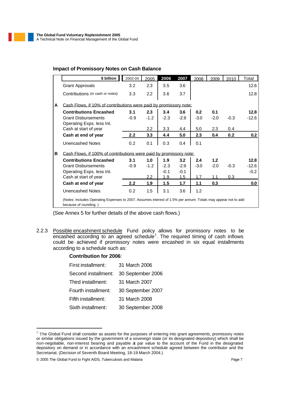#### **Impact of Promissory Notes on Cash Balance**

|   | \$ billion                                                                                                                             | 2002-04 | 2005   | 2006   | 2007   | 2008   | 2009   | 2010   | Total   |
|---|----------------------------------------------------------------------------------------------------------------------------------------|---------|--------|--------|--------|--------|--------|--------|---------|
|   | <b>Grant Approvals</b>                                                                                                                 | 3.2     | 2.3    | 3.5    | 3.6    |        |        |        | 12.6    |
|   | Contributions (in cash or notes)                                                                                                       | 3.3     | 2.2    | 3.6    | 3.7    |        |        |        | 12.8    |
| A | Cash Flows, if 10% of contributions were paid by promissory note:                                                                      |         |        |        |        |        |        |        |         |
|   | <b>Contributions Encashed</b>                                                                                                          | 3.1     | 2.3    | 3.4    | 3.6    | 0.2    | 0.1    |        | 12.8    |
|   | <b>Grant Disbursements</b><br>Operating Exps. less Int.                                                                                | $-0.9$  | $-1.2$ | $-2.3$ | $-2.9$ | $-3.0$ | $-2.0$ | $-0.3$ | $-12.6$ |
|   | Cash at start of year                                                                                                                  |         | 2.2    | 3.3    | 4.4    | 5.0    | 2.3    | 0.4    |         |
|   | Cash at end of year                                                                                                                    | 2.2     | 3.3    | 4.4    | 5.0    | 2.3    | 0.4    | 0.2    | 0.2     |
|   | <b>Unencashed Notes</b>                                                                                                                | 0.2     | 0.1    | 0.3    | 0.4    | 0.1    |        |        |         |
| в | Cash Flows. if 100% of contributions were paid by promissory note:                                                                     |         |        |        |        |        |        |        |         |
|   | <b>Contributions Encashed</b>                                                                                                          | 3.1     | 1.0    | 1.9    | 3.2    | 2.4    | 1.2    |        | 12.8    |
|   | <b>Grant Disbursements</b>                                                                                                             | $-0.9$  | $-1.2$ | $-2.3$ | $-2.9$ | $-3.0$ | $-2.0$ | $-0.3$ | $-12.6$ |
|   | Operating Exps. less Int.                                                                                                              |         |        | $-0.1$ | $-0.1$ |        |        |        | $-0.2$  |
|   | Cash at start of year                                                                                                                  |         | 2.2    | 1.9    | 1.5    | 1.7    | 11     | 0.3    |         |
|   | Cash at end of year                                                                                                                    | 2.2     | 1.9    | 1.5    | 1.7    | 1.1    | 0.3    |        | 0.0     |
|   | Unencashed Notes                                                                                                                       | 0.2     | 1.5    | 3.1    | 3.6    | 1.2    |        |        |         |
|   | (Notes: Includes Operating Expenses to 2007. Assumes interest of 1.5% per annum. Totals may appear not to add<br>because of rounding.) |         |        |        |        |        |        |        |         |

(See Annex 5 for further details of the above cash flows.)

2.2.3 Possible encashment schedule Fund policy allows for promissory notes to be encashed according to an agreed schedule<sup>1</sup>. The required timing of cash inflows could be achieved if promissory notes were encashed in six equal installments according to a schedule such as:

#### **Contribution for 2006**:

| First installment:  | 31 March 2006     |
|---------------------|-------------------|
| Second installment: | 30 September 2006 |
| Third installment:  | 31 March 2007     |
| Fourth installment: | 30 September 2007 |
| Fifth installment:  | 31 March 2008     |
| Sixth installment:  | 30 September 2008 |

 $1$  The Global Fund shall consider as assets for the purposes of entering into grant agreements, promissory notes or similar obligations issued by the government of a sovereign state (or its designated depository) which shall be non-negotiable, non-interest bearing and payable at par value to the account of the Fund in the designated depository on demand or in accordance with an encashment schedule agreed between the contributor and the Secretariat. (Decision of Seventh Board Meeting, 18-19 March 2004.)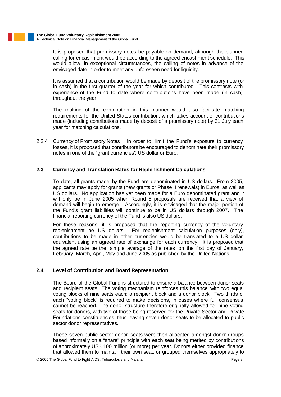It is proposed that promissory notes be payable on demand, although the planned calling for encashment would be according to the agreed encashment schedule. This would allow, in exceptional circumstances, the calling of notes in advance of the envisaged date in order to meet any unforeseen need for liquidity.

It is assumed that a contribution would be made by deposit of the promissory note (or in cash) in the first quarter of the year for which contributed. This contrasts with experience of the Fund to date where contributions have been made (in cash) throughout the year.

The making of the contribution in this manner would also facilitate matching requirements for the United States contribution, which takes account of contributions made (including contributions made by deposit of a promissory note) by 31 July each year for matching calculations.

2.2.4 Currency of Promissory Notes In order to limit the Fund's exposure to currency losses, it is proposed that contributors be encouraged to denominate their promissory notes in one of the "grant currencies": US dollar or Euro.

#### **2.3 Currency and Translation Rates for Replenishment Calculations**

To date, all grants made by the Fund are denominated in US dollars. From 2005, applicants may apply for grants (new grants or Phase II renewals) in Euros, as well as US dollars. No application has yet been made for a Euro denominated grant and it will only be in June 2005 when Round 5 proposals are received that a view of demand will begin to emerge. Accordingly, it is envisaged that the major portion of the Fund's grant liabilities will continue to be in US dollars through 2007. The financial reporting currency of the Fund is also US dollars.

For these reasons, it is proposed that the reporting currency of the voluntary replenishment be US dollars. For replenishment calculation purposes (only), contributions to be made in other currencies would be translated to a US dollar equivalent using an agreed rate of exchange for each currency. It is proposed that the agreed rate be the simple average of the rates on the first day of January, February, March, April, May and June 2005 as published by the United Nations.

#### **2.4 Level of Contribution and Board Representation**

The Board of the Global Fund is structured to ensure a balance between donor seats and recipient seats. The voting mechanism reinforces this balance with two equal voting blocks of nine seats each: a recipient block and a donor block. Two thirds of each "voting block" is required to make decisions, in cases where full consensus cannot be reached. The donor structure therefore originally allowed for nine voting seats for donors, with two of those being reserved for the Private Sector and Private Foundations constituencies, thus leaving seven donor seats to be allocated to public sector donor representatives.

These seven public sector donor seats were then allocated amongst donor groups based informally on a "share" principle with each seat being merited by contributions of approximately US\$ 100 million (or more) per year. Donors either provided finance that allowed them to maintain their own seat, or grouped themselves appropriately to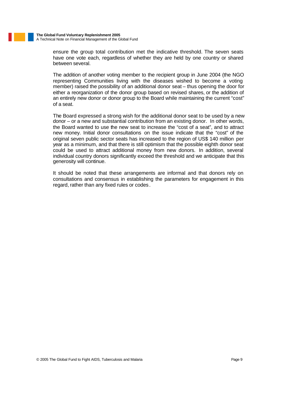ensure the group total contribution met the indicative threshold. The seven seats have one vote each, regardless of whether they are held by one country or shared between several.

The addition of another voting member to the recipient group in June 2004 (the NGO representing Communities living with the diseases wished to become a voting member) raised the possibility of an additional donor seat – thus opening the door for either a reorganization of the donor group based on revised shares, or the addition of an entirely new donor or donor group to the Board while maintaining the current "cost" of a seat.

The Board expressed a strong wish for the additional donor seat to be used by a new donor – or a new and substantial contribution from an existing donor. In other words, the Board wanted to use the new seat to increase the "cost of a seat", and to attract new money. Initial donor consultations on the issue indicate that the "cost" of the original seven public sector seats has increased to the region of US\$ 140 million per year as a minimum, and that there is still optimism that the possible eighth donor seat could be used to attract additional money from new donors. In addition, several individual country donors significantly exceed the threshold and we anticipate that this generosity will continue.

It should be noted that these arrangements are informal and that donors rely on consultations and consensus in establishing the parameters for engagement in this regard, rather than any fixed rules or codes .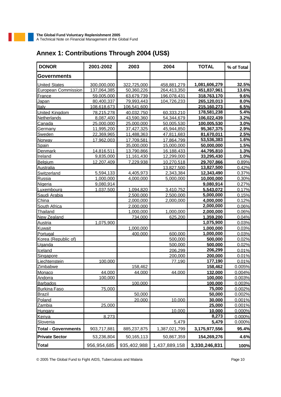| <b>DONOR</b>               | 2001-2002   | 2003        | 2004          | <b>TOTAL</b>  | % of Total |
|----------------------------|-------------|-------------|---------------|---------------|------------|
| <b>Governments</b>         |             |             |               |               |            |
| <b>United States</b>       | 300,000,000 | 322,725,000 | 458,881,279   | 1,081,606,279 | 32.5%      |
| European Commission        | 137,064,385 | 50,360,226  | 264,413,350   | 451,837,961   | 13.6%      |
| France                     | 59,005,000  | 63,679,739  | 196,078,431   | 318,763,170   | 9.6%       |
| Japan                      | 80,400,337  | 79,993,443  | 104,726,233   | 265,120,013   | 8.0%       |
| <b>Italy</b>               | 108,618,673 | 106.541.600 |               | 215.160.273   | 6.5%       |
| <b>United Kingdom</b>      | 78,215,278  | 40.032.750  | 60.333.210    | 178,581,238   | 5.4%       |
| Netherlands                | 8,087,400   | 43,590,360  | 54,344,679    | 106,022,439   | 3.2%       |
| Canada                     | 25,000,000  | 25,000,000  | 50,005,530    | 100.005.530   | 3.0%       |
| Germany                    | 11,995,200  | 37,427,325  | 45,944,850    | 95,367,375    | 2.9%       |
| Sweden                     | 22.369.965  | 11,488,363  | 47,811,683    | 81,670,011    | 2.5%       |
| Norway                     | 17,962,003  | 17,709,581  | 17,864,799    | 53,536,383    | 1.6%       |
| Spain                      |             | 35,000,000  | 15,000,000    | 50,000,000    | 1.5%       |
| <b>Denmark</b>             | 14,816,511  | 13,790,866  | 16,188,433    | 44,795,810    | 1.3%       |
| Ireland                    | 9,835,000   | 11,161,430  | 12,299,000    | 33,295,430    | 1.0%       |
| <b>Belgium</b>             | 12,207,409  | 7,229,938   | 10,270,518    | 29,707,866    | 0.89%      |
| Australia                  |             |             | 13,827,500    | 13,827,500    | 0.42%      |
| Switzerland                | 5,594,133   | 4,405,973   | 2,343,384     | 12,343,490    | 0.37%      |
| Russia                     | 1,000,000   | 4,000,000   | 5,000,000     | 10,000,000    | 0.30%      |
| Nigeria                    | 9,080,914   |             |               | 9,080,914     | 0.27%      |
| Luxembourg                 | 1,037,500   | 1,094,820   | 3,410,752     | 5,543,072     | 0.17%      |
| Saudi Arabia               |             | 2,500,000   | 2,500,000     | 5,000,000     | 0.15%      |
| China                      |             | 2,000,000   | 2,000,000     | 4,000,000     | 0.12%      |
| <b>South Africa</b>        |             | 2,000,000   |               | 2,000,000     | 0.06%      |
| Thailand                   |             | 1,000,000   | 1,000,000     | 2,000,000     | 0.06%      |
| <b>New Zealand</b>         |             | 734,000     | 625,200       | 1,359,200     | 0.04%      |
| Austria                    | 1,075,900   |             |               | 1,075,900     | 0.03%      |
| Kuwait                     |             | 1,000,000   |               | 1,000,000     | 0.03%      |
| Portugal                   |             | 400,000     | 600,000       | 1,000,000     | 0.03%      |
| Korea (Republic of)        |             |             | 500,000       | 500,000       | 0.02%      |
| Uganda                     |             |             | 500,000       | 500,000       | 0.02%      |
| Iceland                    |             |             | 206,299       | 206,299       | 0.01%      |
| Singapore                  |             |             | 200,000       | 200,000       | 0.01%      |
| Liechtenstein              | 100,000     |             | 77,190        | 177,190       | 0.01%      |
| Zimbabwe                   |             | 158,462     |               | 158,462       | 0.005%     |
| Monaco                     | 44,000      | 44,000      | 44,000        | 132,000       | 0.004%     |
| Andorra                    | 100,000     |             |               | 100,000       | 0.003%     |
| <b>Barbados</b>            |             | 100,000     |               | 100,000       | 0.003%     |
| <b>Burkina Faso</b>        | 75,000      |             |               | 75,000        | 0.002%     |
| <b>Brazil</b>              |             | 50,000      |               | 50,000        | 0.002%     |
| Poland                     |             | 20,000      | 10,000        | 30,000        | 0.001%     |
| Zambia                     | 25,000      |             |               | 25,000        | 0.001%     |
| <b>Hungary</b>             |             |             | 10,000        | 10,000        | 0.000%     |
| Kenya                      | 8,273       |             |               | 8,273         | 0.000%     |
| Slovenia                   |             |             | 5,479         | 5,479         | 0.000%     |
| <b>Total - Governments</b> | 903,717,881 | 885,237,875 | 1,387,021,799 | 3,175,977,556 | 95.4%      |
| <b>Private Sector</b>      | 53,236,804  | 50,165,113  | 50,867,359    | 154,269,276   | 4.6%       |
| <b>Total</b>               | 956,954,685 | 935,402,988 | 1,437,889,158 | 3,330,246,831 | 100%       |

# **Annex 1: Contributions Through 2004 (US\$)**

© 2005 The Global Fund to Fight AIDS, Tuberculosis and Malaria Page 10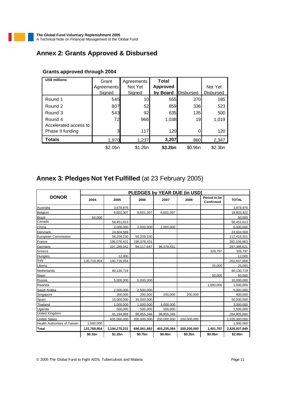# **Annex 2: Grants Approved & Disbursed**

| <b>US\$ millions</b>  | Grant               | Agreements      | <b>Total</b>    |                     |                     |
|-----------------------|---------------------|-----------------|-----------------|---------------------|---------------------|
|                       | Agreements          | Not Yet         | <b>Approved</b> |                     | Not Yet             |
|                       | Signed              | Signed          | by Board        | <b>Disbursed</b>    | <b>Disbursed</b>    |
| Round 1               | 545                 | 10 <sub>l</sub> | 555             | 370                 | 185                 |
| Round 2               | 807                 | 52              | 859             | 336                 | 523                 |
| Round 3               | 543                 | 92              | 635             | 135                 | 500                 |
| Round 4               | 72                  | 966             | 1,038           | 19 <sup>l</sup>     | 1,019               |
| Accelerated access to |                     |                 |                 |                     |                     |
| Phase II funding      | 3                   | 117             | 120             |                     | 120                 |
| <b>Totals</b>         | 1,970               | 1,237           | 3,207           | 860                 | 2,347               |
|                       | \$2.0 <sub>bn</sub> | \$1.2bn         | \$3.2bn         | \$0.9 <sub>bn</sub> | \$2.3 <sub>bn</sub> |

#### **Grants approved through 2004**

# **Annex 3: Pledges Not Yet Fulfilled** (at 23 February 2005)

|                                     |             |               | <b>PLEDGES by YEAR DUE (in USD)</b> |             |             |                           |               |
|-------------------------------------|-------------|---------------|-------------------------------------|-------------|-------------|---------------------------|---------------|
| <b>DONOR</b>                        | 2004        | 2005          | 2006                                | 2007        | 2008        | Period to be<br>Confirmed | <b>TOTAL</b>  |
| Australia                           |             | 3,878,976     |                                     |             |             |                           | 3,878,976     |
| Belgium                             |             | 6,601,307     | 6.601,307                           | 6,601,307   |             |                           | 19.803.922    |
| <b>Brazil</b>                       | 50.000      |               |                                     |             |             |                           | 50.000        |
| Canada                              |             | 56,451,613    |                                     |             |             |                           | 56,451,613    |
| China                               |             | 2.000.000     | 2.000.000                           | 2,000,000   |             |                           | 6,000,000     |
| Denmark                             |             | 24,604,569    |                                     |             |             |                           | 24,604,569    |
| European Commission                 |             | 56,209,150    | 56,209,150                          |             |             |                           | 112,418,301   |
| France                              |             | 196,078,431   | 196,078,431                         |             |             |                           | 392,156,863   |
| Germany                             |             | 107,189,542   | 94,117,647                          | 96,078,431  |             |                           | 297,385,621   |
| Greece                              |             |               |                                     |             |             | 326,797                   | 326,797       |
| Hungary                             |             | 12,000        |                                     |             |             |                           | 12,000        |
| Italy                               | 130,718,954 | 130,718,954   |                                     |             |             |                           | 261,437,908   |
| Liberia                             |             |               |                                     |             |             | 25,000                    | 25,000        |
| Netherlands                         |             | 60,130,719    |                                     |             |             |                           | 60,130,719    |
| Niger                               |             |               |                                     |             |             | 50,000                    | 50,000        |
| Russia                              |             | 5,000,000     | 5,000,000                           |             |             |                           | 10,000,000    |
| Rwanda                              |             |               |                                     |             |             | 1,000,000                 | 1,000,000     |
| Saudi Arabia                        |             | 2.500.000     | 2.500.000                           |             |             |                           | 5.000.000     |
| Singapore                           |             | 200,000       | 200,000                             | 200,000     | 200.000     |                           | 800,000       |
| Spain                               |             | 15,000,000    | 35,000,000                          |             |             |                           | 50,000,000    |
| Thailand                            |             | 1,000,000     | 1,000,000                           | 1,000,000   |             |                           | 3,000,000     |
| Uganda                              |             | 500,000       | 500,000                             | 500,000     |             |                           | 1,500,000     |
| <b>United Kingdom</b>               |             | 91,194,969    | 96,855,346                          | 96,855,346  |             |                           | 284,905,660   |
| <b>United States</b>                |             | 435,000,000   | 200,000,000                         | 200,000,000 | 200,000,000 |                           | 1,035,000,000 |
| <b>Health Authorities of Taiwan</b> | 1,000,000   |               |                                     |             |             |                           | 1,000,000     |
| <b>Total</b>                        | 131,768,954 | 1,194,270,231 | 696,061,882                         | 403,235,084 | 200,200,000 | 1,401,797                 | 2,626,937,949 |
|                                     | \$0.1bn     | \$1.2bn       | \$0.7bn                             | \$0.4bn     | \$0.2bn     | \$0.0bn                   | \$2.6bn       |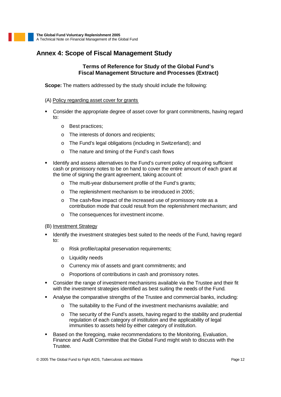# **Annex 4: Scope of Fiscal Management Study**

#### **Terms of Reference for Study of the Global Fund's Fiscal Management Structure and Processes (Extract)**

**Scope:** The matters addressed by the study should include the following:

#### (A) Policy regarding asset cover for grants

- ß Consider the appropriate degree of asset cover for grant commitments, having regard to:
	- o Best practices;
	- o The interests of donors and recipients;
	- o The Fund's legal obligations (including in Switzerland); and
	- o The nature and timing of the Fund's cash flows
- Identify and assess alternatives to the Fund's current policy of requiring sufficient cash or promissory notes to be on hand to cover the entire amount of each grant at the time of signing the grant agreement, taking account of:
	- o The multi-year disbursement profile of the Fund's grants;
	- o The replenishment mechanism to be introduced in 2005;
	- o The cash-flow impact of the increased use of promissory note as a contribution mode that could result from the replenishment mechanism; and
	- o The consequences for investment income.
- (B) Investment Strategy
- Identify the investment strategies best suited to the needs of the Fund, having regard to:
	- o Risk profile/capital preservation requirements;
	- o Liquidity needs
	- o Currency mix of assets and grant commitments; and
	- o Proportions of contributions in cash and promissory notes.
- **Consider the range of investment mechanisms available via the Trustee and their fit** with the investment strategies identified as best suiting the needs of the Fund.
- ß Analyse the comparative strengths of the Trustee and commercial banks, including:
	- o The suitability to the Fund of the investment mechanisms available; and
	- o The security of the Fund's assets, having regard to the stability and prudential regulation of each category of institution and the applicability of legal immunities to assets held by either category of institution.
- **Based on the foregoing, make recommendations to the Monitoring, Evaluation,** Finance and Audit Committee that the Global Fund might wish to discuss with the Trustee.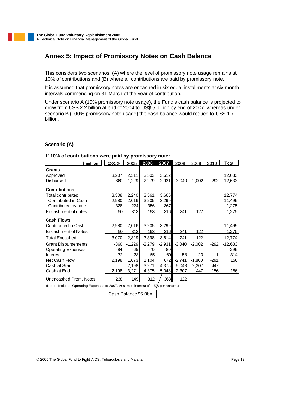# **Annex 5: Impact of Promissory Notes on Cash Balance**

This considers two scenarios: (A) where the level of promissory note usage remains at 10% of contributions and (B) where all contributions are paid by promissory note.

It is assumed that promissory notes are encashed in six equal installments at six-month intervals commencing on 31 March of the year of contribution.

Under scenario A (10% promissory note usage), the Fund's cash balance is projected to grow from US\$ 2.2 billion at end of 2004 to US\$ 5 billion by end of 2007, whereas under scenario B (100% promissory note usage) the cash balance would reduce to US\$ 1.7 billion.

#### **Scenario (A)**

#### **If 10% of contributions were paid by promissory note:**

| \$ million                 | 2002-04 | 2005     | 2006     | 2007     | 2008     | 2009     | 2010   | <b>Total</b> |
|----------------------------|---------|----------|----------|----------|----------|----------|--------|--------------|
| Grants                     |         |          |          |          |          |          |        |              |
| Approved                   | 3,207   | 2,311    | 3,503    | 3,612    |          |          |        | 12,633       |
| <b>Disbursed</b>           | 860     | 1,229    | 2,279    | 2,931    | 3,040    | 2,002    | 292    | 12,633       |
|                            |         |          |          |          |          |          |        |              |
| <b>Contributions</b>       |         |          |          |          |          |          |        |              |
| <b>Total contributed</b>   | 3,308   | 2,240    | 3,561    | 3,665    |          |          |        | 12,774       |
| Contributed in Cash        | 2,980   | 2,016    | 3,205    | 3,299    |          |          |        | 11,499       |
| Contributed by note        | 328     | 224      | 356      | 367      |          |          |        | 1,275        |
| Encashment of notes        | 90      | 313      | 193      | 316      | 241      | 122      |        | 1,275        |
| <b>Cash Flows</b>          |         |          |          |          |          |          |        |              |
| Contributed in Cash        | 2,980   | 2,016    | 3,205    | 3,299    |          |          |        | 11,499       |
| <b>Encashment of Notes</b> | 90      | 313      | 193      | 316      | 241      | 122      |        | 1,275        |
| <b>Total Encashed</b>      | 3,070   | 2,329    | 3,398    | 3,614    | 241      | 122      |        | 12,774       |
| <b>Grant Disbursements</b> | $-860$  | $-1,229$ | $-2,279$ | $-2,931$ | $-3,040$ | $-2,002$ | $-292$ | $-12,633$    |
| <b>Operating Expenses</b>  | -84     | $-65$    | -70      | -80      |          |          |        | $-299$       |
| Interest                   | 72      | 38       | 55       | 69       | 58       | 20       |        | 314          |
| Net Cash Flow              | 2,198   | 1,073    | 1,104    | 672      | $-2,741$ | $-1,860$ | $-291$ | 156          |
| Cash at Start              |         | 2,198    | 3,271    | 4,375    | 5,048    | 2,307    | 447    |              |
| Cash at End                | 2,198   | 3,271    | 4,375    | 5,048    | 2,307    | 447      | 156    | 156          |
| Unencashed Prom. Notes     | 238     | 149      | 312      | 363      | 122      |          |        |              |

(Notes: Includes Operating Expenses to 2007. Assumes interest of 1.5% per annum.)

Cash Balance \$5.0bn